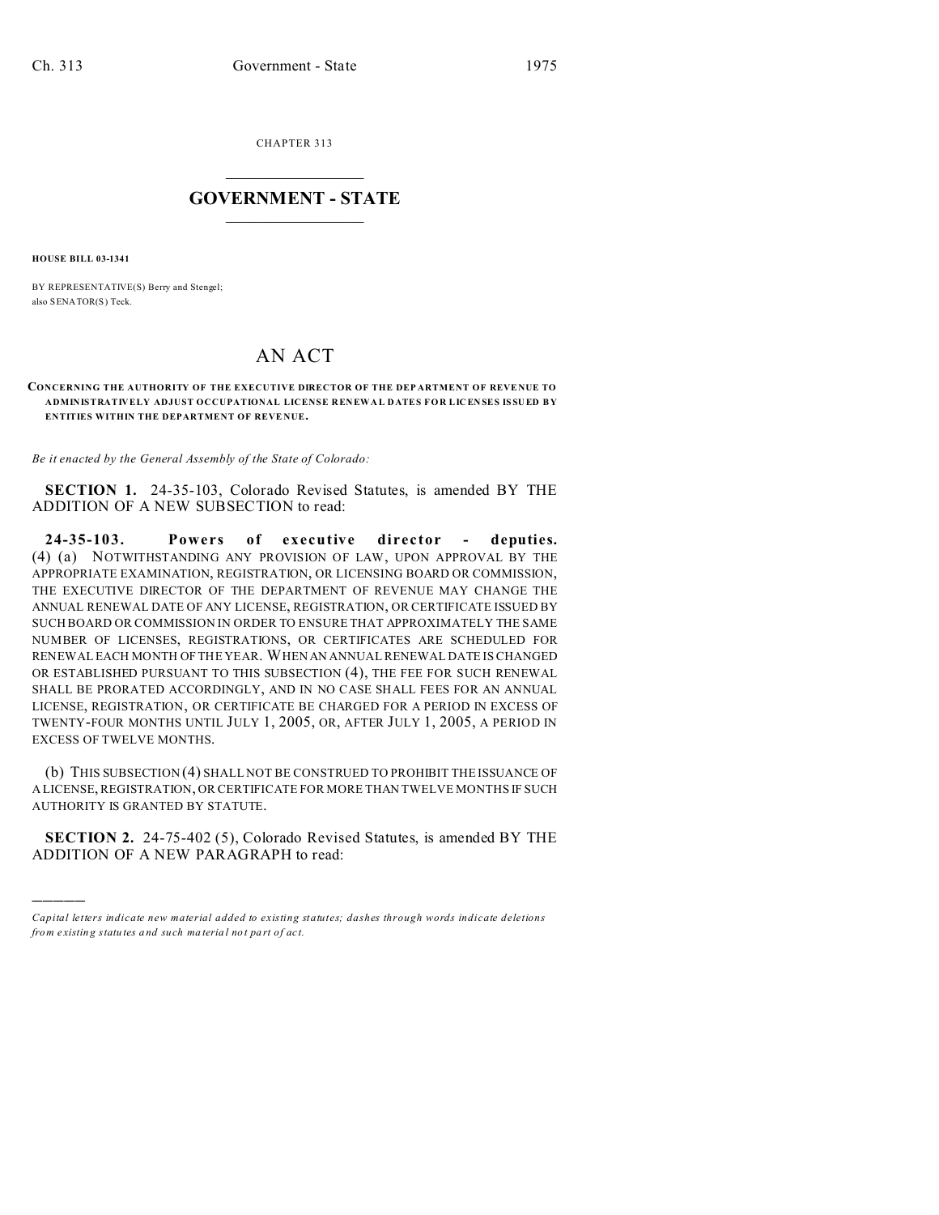CHAPTER 313  $\overline{\phantom{a}}$  , where  $\overline{\phantom{a}}$ 

## **GOVERNMENT - STATE**  $\_$   $\_$

**HOUSE BILL 03-1341**

)))))

BY REPRESENTATIVE(S) Berry and Stengel; also SENATOR(S) Teck.

## AN ACT

**CONCERNING THE AUTHORITY OF THE EXECUTIVE DIRECTOR OF THE DEP ARTMENT OF REVE NUE TO ADMINISTRATIVELY ADJUST OCCUPATIONAL LICENSE REN EWAL DATE S FOR LIC EN SE S IS SU ED BY ENTITIES WITHIN THE DEPARTMENT OF REVENUE.** 

*Be it enacted by the General Assembly of the State of Colorado:*

**SECTION 1.** 24-35-103, Colorado Revised Statutes, is amended BY THE ADDITION OF A NEW SUBSECTION to read:

**24-35-103. Powers of executive director - deputies.** (4) (a) NOTWITHSTANDING ANY PROVISION OF LAW, UPON APPROVAL BY THE APPROPRIATE EXAMINATION, REGISTRATION, OR LICENSING BOARD OR COMMISSION, THE EXECUTIVE DIRECTOR OF THE DEPARTMENT OF REVENUE MAY CHANGE THE ANNUAL RENEWAL DATE OF ANY LICENSE, REGISTRATION, OR CERTIFICATE ISSUED BY SUCH BOARD OR COMMISSION IN ORDER TO ENSURE THAT APPROXIMATELY THE SAME NUMBER OF LICENSES, REGISTRATIONS, OR CERTIFICATES ARE SCHEDULED FOR RENEWAL EACH MONTH OF THE YEAR. WHEN AN ANNUAL RENEWAL DATE IS CHANGED OR ESTABLISHED PURSUANT TO THIS SUBSECTION (4), THE FEE FOR SUCH RENEWAL SHALL BE PRORATED ACCORDINGLY, AND IN NO CASE SHALL FEES FOR AN ANNUAL LICENSE, REGISTRATION, OR CERTIFICATE BE CHARGED FOR A PERIOD IN EXCESS OF TWENTY-FOUR MONTHS UNTIL JULY 1, 2005, OR, AFTER JULY 1, 2005, A PERIOD IN EXCESS OF TWELVE MONTHS.

(b) THIS SUBSECTION (4) SHALL NOT BE CONSTRUED TO PROHIBIT THE ISSUANCE OF A LICENSE, REGISTRATION, OR CERTIFICATE FOR MORE THAN TWELVE MONTHS IF SUCH AUTHORITY IS GRANTED BY STATUTE.

**SECTION 2.** 24-75-402 (5), Colorado Revised Statutes, is amended BY THE ADDITION OF A NEW PARAGRAPH to read:

*Capital letters indicate new material added to existing statutes; dashes through words indicate deletions from e xistin g statu tes a nd such ma teria l no t pa rt of ac t.*